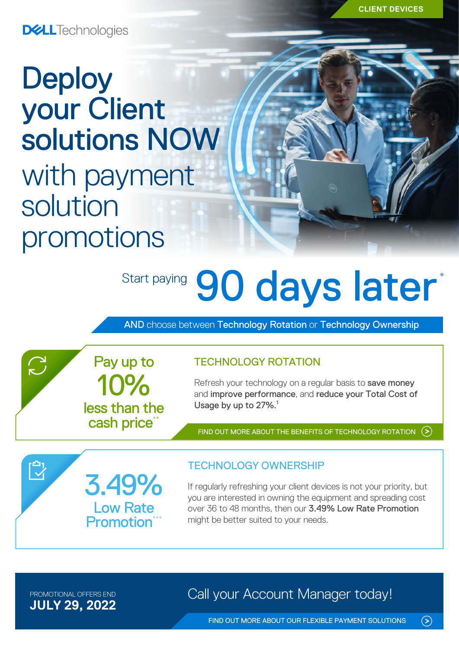**CLIENT DEVICES**

**DELL**Technologies

# **Deploy** your Client solutions NOW with payment solution promotions

# Start paying 90 days later<sup>\*</sup>

AND choose between Technology Rotation or Technology Ownership

Pay up to

less than the cash price\*

10%

### TECHNOLOGY ROTATION

Refresh your technology on a regular basis to save money and improve performance, and reduce your Total Cost of Usage by up to 27%.<sup>1</sup>

[FIND OUT MORE ABOUT THE BENEFITS OF TECHNOLOGY ROTATION](https://www.delltechnologies.com/en-nz/payment-solutions/leasing.htm#tab0=0)

3.49% Low Rate **Promotion**<sup>\*</sup>

## TECHNOLOGY OWNERSHIP

If regularly refreshing your client devices is not your priority, but you are interested in owning the equipment and spreading cost over 36 to 48 months, then our 3.49% Low Rate Promotion might be better suited to your needs.

**JULY 29, 2022**

 $\sum$ 

 $\bar{\mathbb{C}}$ 

PROMOTIONAL OFFERS END **Call your Account Manager today!** 

 $\odot$